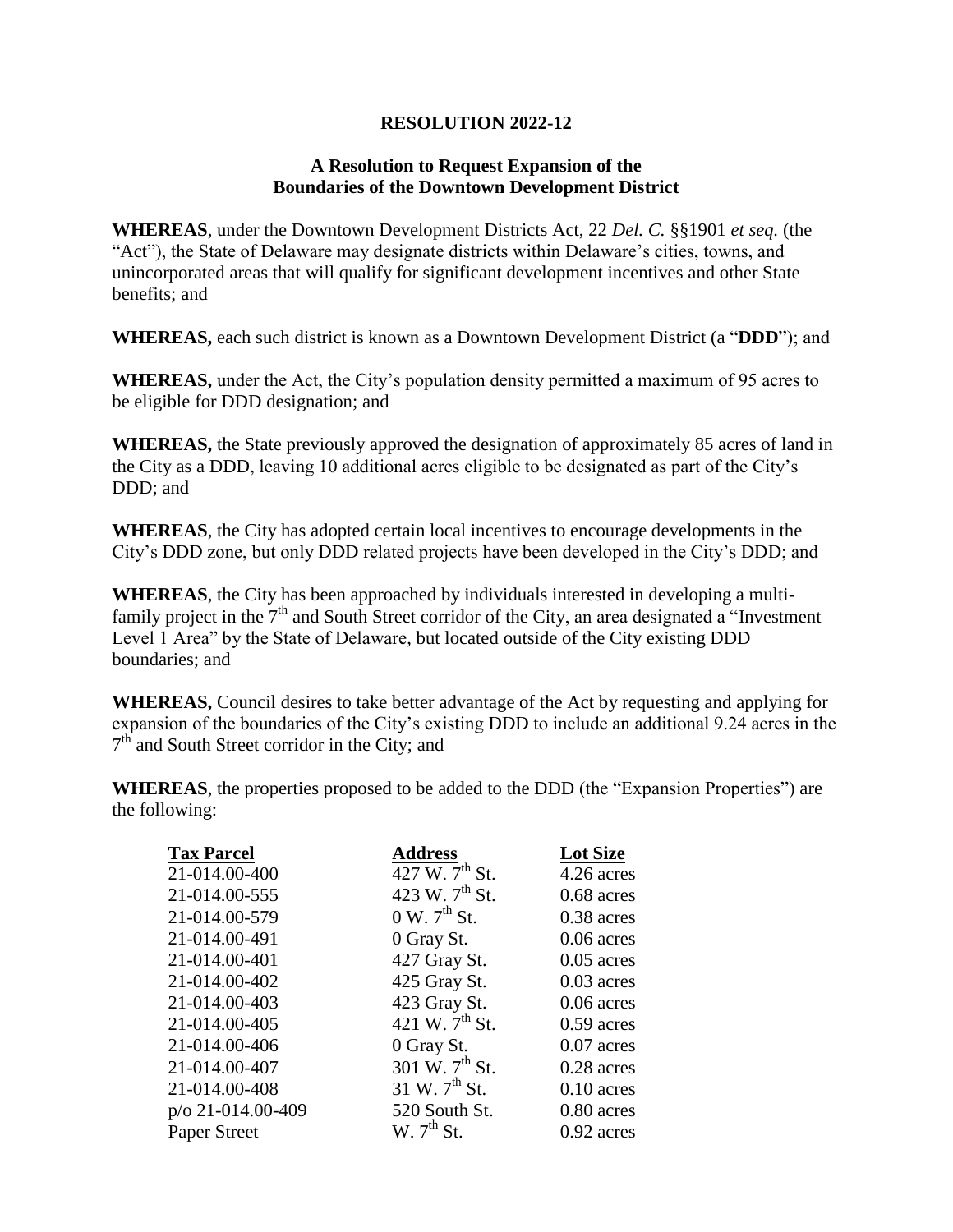## **RESOLUTION 2022-12**

## **A Resolution to Request Expansion of the Boundaries of the Downtown Development District**

**WHEREAS**, under the Downtown Development Districts Act, 22 *Del. C.* §§1901 *et seq.* (the "Act"), the State of Delaware may designate districts within Delaware's cities, towns, and unincorporated areas that will qualify for significant development incentives and other State benefits; and

**WHEREAS,** each such district is known as a Downtown Development District (a "**DDD**"); and

**WHEREAS,** under the Act, the City's population density permitted a maximum of 95 acres to be eligible for DDD designation; and

**WHEREAS,** the State previously approved the designation of approximately 85 acres of land in the City as a DDD, leaving 10 additional acres eligible to be designated as part of the City's DDD; and

**WHEREAS**, the City has adopted certain local incentives to encourage developments in the City's DDD zone, but only DDD related projects have been developed in the City's DDD; and

**WHEREAS**, the City has been approached by individuals interested in developing a multifamily project in the  $7<sup>th</sup>$  and South Street corridor of the City, an area designated a "Investment" Level 1 Area" by the State of Delaware, but located outside of the City existing DDD boundaries; and

**WHEREAS,** Council desires to take better advantage of the Act by requesting and applying for expansion of the boundaries of the City's existing DDD to include an additional 9.24 acres in the 7<sup>th</sup> and South Street corridor in the City; and

**WHEREAS**, the properties proposed to be added to the DDD (the "Expansion Properties") are the following:

| <b>Tax Parcel</b> | <b>Address</b>                    | <b>Lot Size</b> |
|-------------------|-----------------------------------|-----------------|
| 21-014.00-400     | 427 W. $7^{th}$ St.               | 4.26 acres      |
| 21-014.00-555     | 423 W. 7 <sup>th</sup> St.        | $0.68$ acres    |
| 21-014.00-579     | $0 \text{ W. } 7^{\text{th}}$ St. | 0.38 acres      |
| 21-014.00-491     | 0 Gray St.                        | $0.06$ acres    |
| 21-014.00-401     | 427 Gray St.                      | $0.05$ acres    |
| 21-014.00-402     | 425 Gray St.                      | $0.03$ acres    |
| 21-014.00-403     | 423 Gray St.                      | $0.06$ acres    |
| 21-014.00-405     | 421 W. $7^{\text{th}}$ St.        | $0.59$ acres    |
| 21-014.00-406     | 0 Gray St.                        | $0.07$ acres    |
| 21-014.00-407     | 301 W. 7 <sup>th</sup> St.        | 0.28 acres      |
| 21-014.00-408     | 31 W. $7^{th}$ St.                | $0.10$ acres    |
| p/o 21-014.00-409 | 520 South St.                     | 0.80 acres      |
| Paper Street      | W. 7 <sup>th</sup> St.            | $0.92$ acres    |